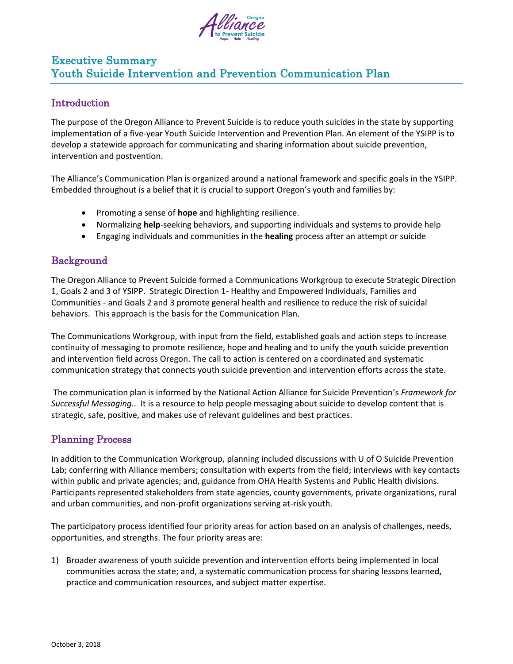

# Executive Summary Youth Suicide Intervention and Prevention Communication Plan

## **Introduction**

The purpose of the Oregon Alliance to Prevent Suicide is to reduce youth suicides in the state by supporting implementation of a five-year Youth Suicide Intervention and Prevention Plan. An element of the YSIPP is to develop a statewide approach for communicating and sharing information about suicide prevention, intervention and postvention.

The Alliance's Communication Plan is organized around a national framework and specific goals in the YSIPP. Embedded throughout is a belief that it is crucial to support Oregon's youth and families by:

- Promoting a sense of **hope** and highlighting resilience.
- Normalizing **help**-seeking behaviors, and supporting individuals and systems to provide help
- Engaging individuals and communities in the **healing** process after an attempt or suicide

## Background

The Oregon Alliance to Prevent Suicide formed a Communications Workgroup to execute Strategic Direction 1, Goals 2 and 3 of YSIPP. Strategic Direction 1- Healthy and Empowered Individuals, Families and Communities - and Goals 2 and 3 promote general health and resilience to reduce the risk of suicidal behaviors. This approach is the basis for the Communication Plan.

The Communications Workgroup, with input from the field, established goals and action steps to increase continuity of messaging to promote resilience, hope and healing and to unify the youth suicide prevention and intervention field across Oregon. The call to action is centered on a coordinated and systematic communication strategy that connects youth suicide prevention and intervention efforts across the state.

The communication plan is informed by the National Action Alliance for Suicide Prevention's *Framework for Successful Messaging.*. It is a resource to help people messaging about suicide to develop content that is strategic, safe, positive, and makes use of relevant guidelines and best practices.

# Planning Process

In addition to the Communication Workgroup, planning included discussions with U of O Suicide Prevention Lab; conferring with Alliance members; consultation with experts from the field; interviews with key contacts within public and private agencies; and, guidance from OHA Health Systems and Public Health divisions. Participants represented stakeholders from state agencies, county governments, private organizations, rural and urban communities, and non-profit organizations serving at-risk youth.

The participatory process identified four priority areas for action based on an analysis of challenges, needs, opportunities, and strengths. The four priority areas are:

1) Broader awareness of youth suicide prevention and intervention efforts being implemented in local communities across the state; and, a systematic communication process for sharing lessons learned, practice and communication resources, and subject matter expertise.